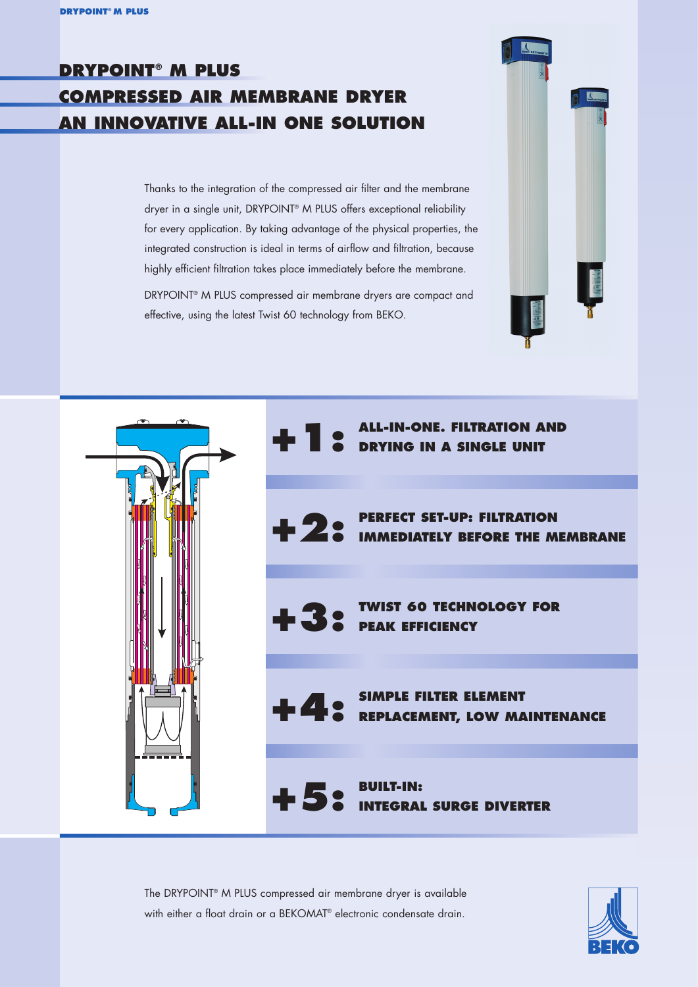## **DRYPOINT® M PLUS COMPRESSED AIR MEMBRANE DRYER AN INNOVATIVE ALL-IN ONE SOLUTION**

Thanks to the integration of the compressed air filter and the membrane dryer in a single unit, DRYPOINT® M PLUS offers exceptional reliability for every application. By taking advantage of the physical properties, the integrated construction is ideal in terms of airflow and filtration, because highly efficient filtration takes place immediately before the membrane.

DRYPOINT® M PLUS compressed air membrane dryers are compact and effective, using the latest Twist 60 technology from BEKO.





**TWIST 60 TECHNOLOGY FOR PEAK EFFICIENCY PERFECT SET-UP: FILTRATION IMMEDIATELY BEFORE THE MEMBRANE DRYING IN A SINGLE UNIT +2: +3:**

**ALL-IN-ONE. FILTRATION AND** 

**SIMPLE FILTER ELEMENT REPLACEMENT, LOW MAINTENANCE**

**BUILT-IN: INTEGRAL SURGE DIVERTER**

The DRYPOINT® M PLUS compressed air membrane dryer is available with either a float drain or a BEKOMAT<sup>®</sup> electronic condensate drain.